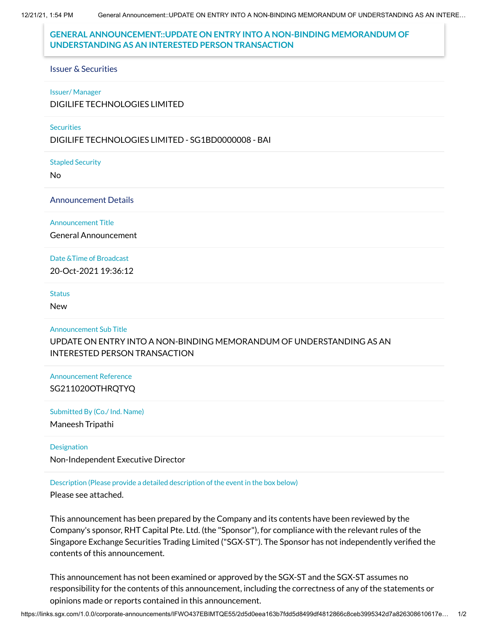12/21/21, 1:54 PM General Announcement::UPDATE ON ENTRY INTO A NON-BINDING MEMORANDUM OF UNDERSTANDING AS AN INTERE…

## **GENERAL ANNOUNCEMENT::UPDATE ON ENTRY INTO A NON-BINDING MEMORANDUM OF UNDERSTANDING AS AN INTERESTED PERSON TRANSACTION**

#### Issuer & Securities

#### Issuer/ Manager

DIGILIFE TECHNOLOGIES LIMITED

### **Securities**

DIGILIFE TECHNOLOGIES LIMITED - SG1BD0000008 - BAI

Stapled Security

No

#### Announcement Details

Announcement Title

General Announcement

## Date &Time of Broadcast

20-Oct-2021 19:36:12

#### **Status**

New

#### Announcement Sub Title

UPDATE ON ENTRY INTO A NON-BINDING MEMORANDUM OF UNDERSTANDING AS AN INTERESTED PERSON TRANSACTION

# Announcement Reference SG211020OTHRQTYQ

Submitted By (Co./ Ind. Name)

Maneesh Tripathi

## **Designation**

Non-Independent Executive Director

## Description (Please provide a detailed description of the event in the box below)

Please see attached.

This announcement has been prepared by the Company and its contents have been reviewed by the Company's sponsor, RHT Capital Pte. Ltd. (the "Sponsor"), for compliance with the relevant rules of the Singapore Exchange Securities Trading Limited ("SGX-ST"). The Sponsor has not independently verified the contents of this announcement.

This announcement has not been examined or approved by the SGX-ST and the SGX-ST assumes no responsibility for the contents of this announcement, including the correctness of any of the statements or opinions made or reports contained in this announcement.